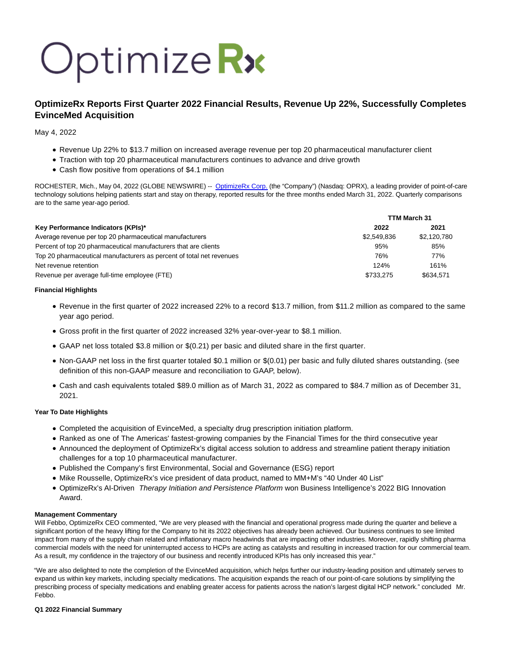# Optimize Rx

# **OptimizeRx Reports First Quarter 2022 Financial Results, Revenue Up 22%, Successfully Completes EvinceMed Acquisition**

May 4, 2022

- Revenue Up 22% to \$13.7 million on increased average revenue per top 20 pharmaceutical manufacturer client
- Traction with top 20 pharmaceutical manufacturers continues to advance and drive growth
- Cash flow positive from operations of \$4.1 million

ROCHESTER, Mich., May 04, 2022 (GLOBE NEWSWIRE) -- [OptimizeRx Corp. \(](https://www.globenewswire.com/Tracker?data=S-R9mW-lNbb4-yp6wKwGOEH1saXvQB8MlKLsaQAPR7upffxuPRyr-bHZ9rxSWdR8lvdkHdZDI8Yys3ZPhxbEYq9QlwSzik_Pp37CzBeXs38=)the "Company") (Nasdaq: OPRX), a leading provider of point-of-care technology solutions helping patients start and stay on therapy, reported results for the three months ended March 31, 2022. Quarterly comparisons are to the same year-ago period.

|                                                                      |             | TTM March 31 |  |  |  |
|----------------------------------------------------------------------|-------------|--------------|--|--|--|
| Key Performance Indicators (KPIs)*                                   | 2022        | 2021         |  |  |  |
| Average revenue per top 20 pharmaceutical manufacturers              | \$2,549,836 | \$2,120,780  |  |  |  |
| Percent of top 20 pharmaceutical manufacturers that are clients      | 95%         | 85%          |  |  |  |
| Top 20 pharmaceutical manufacturers as percent of total net revenues | 76%         | 77%          |  |  |  |
| Net revenue retention                                                | 124%        | 161%         |  |  |  |
| Revenue per average full-time employee (FTE)                         | \$733.275   | \$634.571    |  |  |  |

### **Financial Highlights**

- Revenue in the first quarter of 2022 increased 22% to a record \$13.7 million, from \$11.2 million as compared to the same year ago period.
- Gross profit in the first quarter of 2022 increased 32% year-over-year to \$8.1 million.
- GAAP net loss totaled \$3.8 million or \$(0.21) per basic and diluted share in the first quarter.
- Non-GAAP net loss in the first quarter totaled \$0.1 million or \$(0.01) per basic and fully diluted shares outstanding. (see definition of this non-GAAP measure and reconciliation to GAAP, below).
- Cash and cash equivalents totaled \$89.0 million as of March 31, 2022 as compared to \$84.7 million as of December 31, 2021.

# **Year To Date Highlights**

- Completed the acquisition of EvinceMed, a specialty drug prescription initiation platform.
- Ranked as one of The Americas' fastest-growing companies by the Financial Times for the third consecutive year
- Announced the deployment of OptimizeRx's digital access solution to address and streamline patient therapy initiation challenges for a top 10 pharmaceutical manufacturer.
- Published the Company's first Environmental, Social and Governance (ESG) report
- Mike Rousselle, OptimizeRx's vice president of data product, named to MM+M's "40 Under 40 List"
- OptimizeRx's AI-Driven Therapy Initiation and Persistence Platform won Business Intelligence's 2022 BIG Innovation Award.

# **Management Commentary**

Will Febbo, OptimizeRx CEO commented, "We are very pleased with the financial and operational progress made during the quarter and believe a significant portion of the heavy lifting for the Company to hit its 2022 objectives has already been achieved. Our business continues to see limited impact from many of the supply chain related and inflationary macro headwinds that are impacting other industries. Moreover, rapidly shifting pharma commercial models with the need for uninterrupted access to HCPs are acting as catalysts and resulting in increased traction for our commercial team. As a result, my confidence in the trajectory of our business and recently introduced KPIs has only increased this year."

"We are also delighted to note the completion of the EvinceMed acquisition, which helps further our industry-leading position and ultimately serves to expand us within key markets, including specialty medications. The acquisition expands the reach of our point-of-care solutions by simplifying the prescribing process of specialty medications and enabling greater access for patients across the nation's largest digital HCP network." concluded Mr. Febbo.

#### **Q1 2022 Financial Summary**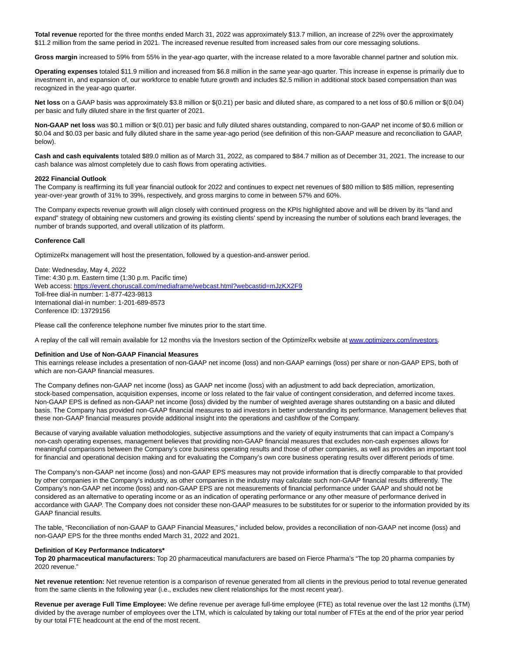**Total revenue** reported for the three months ended March 31, 2022 was approximately \$13.7 million, an increase of 22% over the approximately \$11.2 million from the same period in 2021. The increased revenue resulted from increased sales from our core messaging solutions.

**Gross margin** increased to 59% from 55% in the year-ago quarter, with the increase related to a more favorable channel partner and solution mix.

**Operating expenses** totaled \$11.9 million and increased from \$6.8 million in the same year-ago quarter. This increase in expense is primarily due to investment in, and expansion of, our workforce to enable future growth and includes \$2.5 million in additional stock based compensation than was recognized in the year-ago quarter.

**Net loss** on a GAAP basis was approximately \$3.8 million or \$(0.21) per basic and diluted share, as compared to a net loss of \$0.6 million or \$(0.04) per basic and fully diluted share in the first quarter of 2021.

**Non-GAAP net loss** was \$0.1 million or \$(0.01) per basic and fully diluted shares outstanding, compared to non-GAAP net income of \$0.6 million or \$0.04 and \$0.03 per basic and fully diluted share in the same year-ago period (see definition of this non-GAAP measure and reconciliation to GAAP, below).

**Cash and cash equivalents** totaled \$89.0 million as of March 31, 2022, as compared to \$84.7 million as of December 31, 2021. The increase to our cash balance was almost completely due to cash flows from operating activities.

#### **2022 Financial Outlook**

The Company is reaffirming its full year financial outlook for 2022 and continues to expect net revenues of \$80 million to \$85 million, representing year-over-year growth of 31% to 39%, respectively, and gross margins to come in between 57% and 60%.

The Company expects revenue growth will align closely with continued progress on the KPIs highlighted above and will be driven by its "land and expand" strategy of obtaining new customers and growing its existing clients' spend by increasing the number of solutions each brand leverages, the number of brands supported, and overall utilization of its platform.

#### **Conference Call**

OptimizeRx management will host the presentation, followed by a question-and-answer period.

Date: Wednesday, May 4, 2022 Time: 4:30 p.m. Eastern time (1:30 p.m. Pacific time) Web access[: https://event.choruscall.com/mediaframe/webcast.html?webcastid=mJzKX2F9](https://www.globenewswire.com/Tracker?data=8VlV3ZopIw7xtryGsqoX2QqJzDNnzGHFoxPW0NU3hgGqztf0YpCfQkNhWqe8dnuzQZPIdrfb7-x97Iooxg6gerNhX4ipEk69J0WOD1vP6A32JMTE0yuosPXLZ5AE7sOMnOfJr93po3N0gtkWWz2eNJ5K2UXy2qvHTVoasdjOR4nkAMKRTB9dxXkBmF81TQEL-lWC2r3Smvt6Y6TAdZ3ywxGzyWFl4nC5jYhQlBKtdvA=) Toll-free dial-in number: 1-877-423-9813 International dial-in number: 1-201-689-8573 Conference ID: 13729156

Please call the conference telephone number five minutes prior to the start time.

A replay of the call will remain available for 12 months via the Investors section of the OptimizeRx website at [www.optimizerx.com/investors.](https://www.globenewswire.com/Tracker?data=IfxBbw-DGpnZUqqAWvOihSORNAIEBtmAN6U2BFBQaYwW-DqtUcG5_6FP9nFRZ0yD0xzVQNIETWk6UTdZuTzdBuS4QqEPFXBOaSrZV6h1qK0XFg4bwMcPmHfuYIb3Bpto)

#### **Definition and Use of Non-GAAP Financial Measures**

This earnings release includes a presentation of non-GAAP net income (loss) and non-GAAP earnings (loss) per share or non-GAAP EPS, both of which are non-GAAP financial measures.

The Company defines non-GAAP net income (loss) as GAAP net income (loss) with an adjustment to add back depreciation, amortization, stock-based compensation, acquisition expenses, income or loss related to the fair value of contingent consideration, and deferred income taxes. Non-GAAP EPS is defined as non-GAAP net income (loss) divided by the number of weighted average shares outstanding on a basic and diluted basis. The Company has provided non-GAAP financial measures to aid investors in better understanding its performance. Management believes that these non-GAAP financial measures provide additional insight into the operations and cashflow of the Company.

Because of varying available valuation methodologies, subjective assumptions and the variety of equity instruments that can impact a Company's non-cash operating expenses, management believes that providing non-GAAP financial measures that excludes non-cash expenses allows for meaningful comparisons between the Company's core business operating results and those of other companies, as well as provides an important tool for financial and operational decision making and for evaluating the Company's own core business operating results over different periods of time.

The Company's non-GAAP net income (loss) and non-GAAP EPS measures may not provide information that is directly comparable to that provided by other companies in the Company's industry, as other companies in the industry may calculate such non-GAAP financial results differently. The Company's non-GAAP net income (loss) and non-GAAP EPS are not measurements of financial performance under GAAP and should not be considered as an alternative to operating income or as an indication of operating performance or any other measure of performance derived in accordance with GAAP. The Company does not consider these non-GAAP measures to be substitutes for or superior to the information provided by its GAAP financial results.

The table, "Reconciliation of non-GAAP to GAAP Financial Measures," included below, provides a reconciliation of non-GAAP net income (loss) and non-GAAP EPS for the three months ended March 31, 2022 and 2021.

#### **Definition of Key Performance Indicators\***

**Top 20 pharmaceutical manufacturers:** Top 20 pharmaceutical manufacturers are based on Fierce Pharma's "The top 20 pharma companies by 2020 revenue."

**Net revenue retention:** Net revenue retention is a comparison of revenue generated from all clients in the previous period to total revenue generated from the same clients in the following year (i.e., excludes new client relationships for the most recent year).

**Revenue per average Full Time Employee:** We define revenue per average full-time employee (FTE) as total revenue over the last 12 months (LTM) divided by the average number of employees over the LTM, which is calculated by taking our total number of FTEs at the end of the prior year period by our total FTE headcount at the end of the most recent.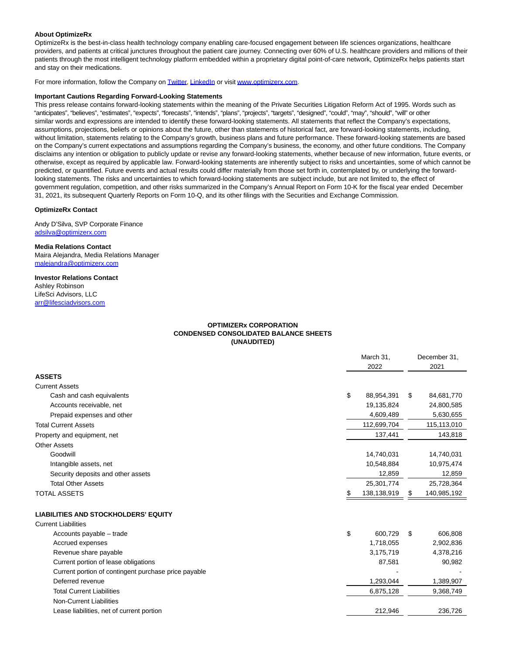#### **About OptimizeRx**

OptimizeRx is the best-in-class health technology company enabling care-focused engagement between life sciences organizations, healthcare providers, and patients at critical junctures throughout the patient care journey. Connecting over 60% of U.S. healthcare providers and millions of their patients through the most intelligent technology platform embedded within a proprietary digital point-of-care network, OptimizeRx helps patients start and stay on their medications.

For more information, follow the Company on [Twitter,](https://www.globenewswire.com/Tracker?data=X2dTSSnZlHdTr2-vAoum7JV3Uk2OSHfDo8z71nBz_QKsAmfD4sMXpQ4ILZE-BMH8cGxnM8rXKxwqU5BmPsJ-WA==) [LinkedIn o](https://www.globenewswire.com/Tracker?data=PoKMVi2u9AJwM8AUKFiVZ4XvKFrKTIGiazLytwg-U57-IqsXytkFg95svpynoSw7A7stP6EyoYiJ4NqsuV96UkFRLP0gw9HklA-8yAs8GPQ=)r visit www.optimizerx.com.

#### **Important Cautions Regarding Forward-Looking Statements**

This press release contains forward-looking statements within the meaning of the Private Securities Litigation Reform Act of 1995. Words such as "anticipates", "believes", "estimates", "expects", "forecasts", "intends", "plans", "projects", "targets", "designed", "could", "may", "should", "will" or other similar words and expressions are intended to identify these forward-looking statements. All statements that reflect the Company's expectations, assumptions, projections, beliefs or opinions about the future, other than statements of historical fact, are forward-looking statements, including, without limitation, statements relating to the Company's growth, business plans and future performance. These forward-looking statements are based on the Company's current expectations and assumptions regarding the Company's business, the economy, and other future conditions. The Company disclaims any intention or obligation to publicly update or revise any forward-looking statements, whether because of new information, future events, or otherwise, except as required by applicable law. Forward-looking statements are inherently subject to risks and uncertainties, some of which cannot be predicted, or quantified. Future events and actual results could differ materially from those set forth in, contemplated by, or underlying the forwardlooking statements. The risks and uncertainties to which forward-looking statements are subject include, but are not limited to, the effect of government regulation, competition, and other risks summarized in the Company's Annual Report on Form 10-K for the fiscal year ended December 31, 2021, its subsequent Quarterly Reports on Form 10-Q, and its other filings with the Securities and Exchange Commission.

#### **OptimizeRx Contact**

Andy D'Silva, SVP Corporate Finance [adsilva@optimizerx.com](https://www.globenewswire.com/Tracker?data=SEC5qG2HlP248llcePYembmM8CWqbvwTIE1fnHDPX8dnClN1Wg0AyAX5ssCJ3P0qjBIDbFuLVijqAGZwOSsXdPkSvkc-AEV5SJC1HvJ7tjI=)

**Media Relations Contact**  Maira Alejandra, Media Relations Manager [malejandra@optimizerx.com](https://www.globenewswire.com/Tracker?data=xd_kQYhYlZBWgh5R1R4Gt3xuWcKVHxMDBYu2FV94WjZOjCGKlIL6UwCEyKlE78OtTUESkSgauUd4hLJCi63p-lt2yEWNwi0HSZhy_GK_pec=) 

**Investor Relations Contact** Ashley Robinson LifeSci Advisors, LLC [arr@lifesciadvisors.com](https://www.globenewswire.com/Tracker?data=zfoxWgjD6Ol1yaLwM59iPiP3txsEgvOQ7nHV8mg_Ky1Jc_w7hKHwEWvWtBrpiwHCYugPOzSY2MKjcpNlDkzczqsEK18oBjbsaTO9CDWFOLY=)

#### **OPTIMIZERx CORPORATION CONDENSED CONSOLIDATED BALANCE SHEETS (UNAUDITED)**

|                                                      | March 31,        |    | December 31. |  |
|------------------------------------------------------|------------------|----|--------------|--|
|                                                      | 2022             |    | 2021         |  |
| <b>ASSETS</b>                                        |                  |    |              |  |
| <b>Current Assets</b>                                |                  |    |              |  |
| Cash and cash equivalents                            | \$<br>88,954,391 | \$ | 84,681,770   |  |
| Accounts receivable, net                             | 19,135,824       |    | 24,800,585   |  |
| Prepaid expenses and other                           | 4,609,489        |    | 5,630,655    |  |
| <b>Total Current Assets</b>                          | 112,699,704      |    | 115,113,010  |  |
| Property and equipment, net                          | 137,441          |    | 143,818      |  |
| <b>Other Assets</b>                                  |                  |    |              |  |
| Goodwill                                             | 14,740,031       |    | 14,740,031   |  |
| Intangible assets, net                               | 10,548,884       |    | 10,975,474   |  |
| Security deposits and other assets                   | 12,859           |    | 12,859       |  |
| <b>Total Other Assets</b>                            | 25,301,774       |    | 25,728,364   |  |
| <b>TOTAL ASSETS</b>                                  | 138,138,919      | S  | 140,985,192  |  |
| <b>LIABILITIES AND STOCKHOLDERS' EQUITY</b>          |                  |    |              |  |
| <b>Current Liabilities</b>                           |                  |    |              |  |
| Accounts payable - trade                             | \$<br>600.729    | \$ | 606,808      |  |
| Accrued expenses                                     | 1,718,055        |    | 2,902,836    |  |
| Revenue share payable                                | 3,175,719        |    | 4,378,216    |  |
| Current portion of lease obligations                 | 87,581           |    | 90,982       |  |
| Current portion of contingent purchase price payable |                  |    |              |  |
| Deferred revenue                                     | 1,293,044        |    | 1,389,907    |  |
| <b>Total Current Liabilities</b>                     | 6,875,128        |    | 9,368,749    |  |
| <b>Non-Current Liabilities</b>                       |                  |    |              |  |
| Lease liabilities, net of current portion            | 212,946          |    | 236,726      |  |
|                                                      |                  |    |              |  |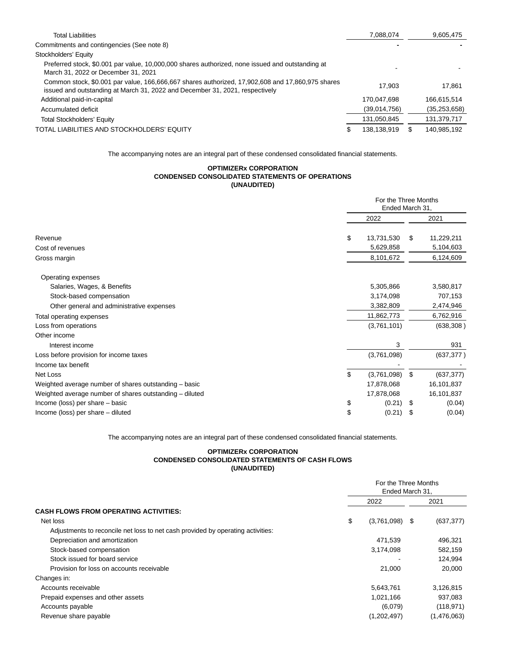| <b>Total Liabilities</b>                                                                                                                                                         |   | 7,088,074    |  | 9,605,475      |
|----------------------------------------------------------------------------------------------------------------------------------------------------------------------------------|---|--------------|--|----------------|
| Commitments and contingencies (See note 8)                                                                                                                                       |   |              |  |                |
| Stockholders' Equity                                                                                                                                                             |   |              |  |                |
| Preferred stock, \$0.001 par value, 10,000,000 shares authorized, none issued and outstanding at<br>March 31, 2022 or December 31, 2021                                          |   |              |  |                |
| Common stock, \$0.001 par value, 166,666,667 shares authorized, 17,902,608 and 17,860,975 shares<br>issued and outstanding at March 31, 2022 and December 31, 2021, respectively |   | 17.903       |  | 17.861         |
| Additional paid-in-capital                                                                                                                                                       |   | 170,047,698  |  | 166,615,514    |
| Accumulated deficit                                                                                                                                                              |   | (39.014,756) |  | (35, 253, 658) |
| <b>Total Stockholders' Equity</b>                                                                                                                                                |   | 131,050,845  |  | 131,379,717    |
| TOTAL LIABILITIES AND STOCKHOLDERS' EQUITY                                                                                                                                       | ъ | 138,138,919  |  | 140,985,192    |

The accompanying notes are an integral part of these condensed consolidated financial statements.

#### **OPTIMIZERx CORPORATION CONDENSED CONSOLIDATED STATEMENTS OF OPERATIONS (UNAUDITED)**

|                                                         | For the Three Months<br>Ended March 31, |             |      |            |
|---------------------------------------------------------|-----------------------------------------|-------------|------|------------|
|                                                         | 2022                                    |             | 2021 |            |
| Revenue                                                 | \$                                      | 13,731,530  | \$   | 11,229,211 |
| Cost of revenues                                        |                                         | 5,629,858   |      | 5,104,603  |
| Gross margin                                            |                                         | 8,101,672   |      | 6,124,609  |
| Operating expenses                                      |                                         |             |      |            |
| Salaries, Wages, & Benefits                             |                                         | 5,305,866   |      | 3,580,817  |
| Stock-based compensation                                |                                         | 3,174,098   |      | 707,153    |
| Other general and administrative expenses               |                                         | 3,382,809   |      | 2,474,946  |
| Total operating expenses                                |                                         | 11,862,773  |      | 6,762,916  |
| Loss from operations                                    |                                         | (3,761,101) |      | (638, 308) |
| Other income                                            |                                         |             |      |            |
| Interest income                                         |                                         | 3           |      | 931        |
| Loss before provision for income taxes                  |                                         | (3,761,098) |      | (637, 377) |
| Income tax benefit                                      |                                         |             |      |            |
| Net Loss                                                | \$                                      | (3,761,098) | \$   | (637, 377) |
| Weighted average number of shares outstanding - basic   |                                         | 17,878,068  |      | 16,101,837 |
| Weighted average number of shares outstanding - diluted |                                         | 17,878,068  |      | 16,101,837 |
| Income (loss) per share - basic                         | \$                                      | (0.21)      | \$   | (0.04)     |
| Income (loss) per share - diluted                       | \$                                      | (0.21)      | \$   | (0.04)     |

The accompanying notes are an integral part of these condensed consolidated financial statements.

#### **OPTIMIZERx CORPORATION CONDENSED CONSOLIDATED STATEMENTS OF CASH FLOWS (UNAUDITED)**

|                                                                                 | For the Three Months<br>Ended March 31. |  |             |  |
|---------------------------------------------------------------------------------|-----------------------------------------|--|-------------|--|
|                                                                                 | 2022                                    |  | 2021        |  |
| <b>CASH FLOWS FROM OPERATING ACTIVITIES:</b>                                    |                                         |  |             |  |
| Net loss                                                                        | \$<br>$(3,761,098)$ \$                  |  | (637, 377)  |  |
| Adjustments to reconcile net loss to net cash provided by operating activities: |                                         |  |             |  |
| Depreciation and amortization                                                   | 471,539                                 |  | 496,321     |  |
| Stock-based compensation                                                        | 3,174,098                               |  | 582,159     |  |
| Stock issued for board service                                                  |                                         |  | 124,994     |  |
| Provision for loss on accounts receivable                                       | 21,000                                  |  | 20,000      |  |
| Changes in:                                                                     |                                         |  |             |  |
| Accounts receivable                                                             | 5,643,761                               |  | 3,126,815   |  |
| Prepaid expenses and other assets                                               | 1,021,166                               |  | 937,083     |  |
| Accounts payable                                                                | (6,079)                                 |  | (118, 971)  |  |
| Revenue share payable                                                           | (1,202,497)                             |  | (1,476,063) |  |